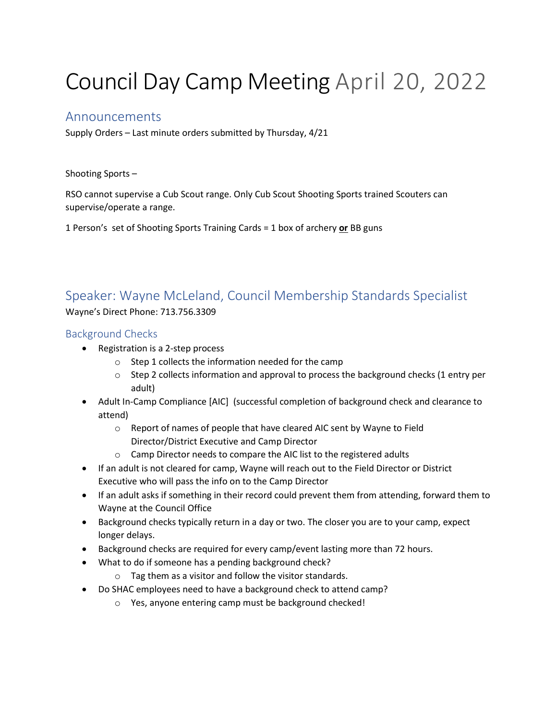# Council Day Camp Meeting April 20, 2022

## Announcements

Supply Orders – Last minute orders submitted by Thursday, 4/21

Shooting Sports –

RSO cannot supervise a Cub Scout range. Only Cub Scout Shooting Sports trained Scouters can supervise/operate a range.

1 Person's set of Shooting Sports Training Cards = 1 box of archery **or** BB guns

# Speaker: Wayne McLeland, Council Membership Standards Specialist

Wayne's Direct Phone: 713.756.3309

#### Background Checks

- Registration is a 2-step process
	- o Step 1 collects the information needed for the camp
	- $\circ$  Step 2 collects information and approval to process the background checks (1 entry per adult)
- Adult In-Camp Compliance [AIC] (successful completion of background check and clearance to attend)
	- o Report of names of people that have cleared AIC sent by Wayne to Field Director/District Executive and Camp Director
	- o Camp Director needs to compare the AIC list to the registered adults
- If an adult is not cleared for camp, Wayne will reach out to the Field Director or District Executive who will pass the info on to the Camp Director
- If an adult asks if something in their record could prevent them from attending, forward them to Wayne at the Council Office
- Background checks typically return in a day or two. The closer you are to your camp, expect longer delays.
- Background checks are required for every camp/event lasting more than 72 hours.
- What to do if someone has a pending background check?
	- o Tag them as a visitor and follow the visitor standards.
- Do SHAC employees need to have a background check to attend camp?
	- o Yes, anyone entering camp must be background checked!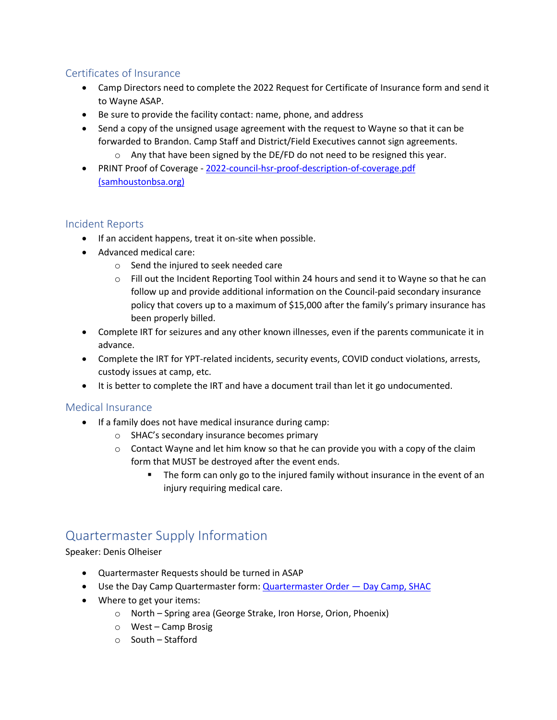### Certificates of Insurance

- Camp Directors need to complete the 2022 Request for Certificate of Insurance form and send it to Wayne ASAP.
- Be sure to provide the facility contact: name, phone, and address
- Send a copy of the unsigned usage agreement with the request to Wayne so that it can be forwarded to Brandon. Camp Staff and District/Field Executives cannot sign agreements.
	- o Any that have been signed by the DE/FD do not need to be resigned this year.
- PRINT Proof of Coverage [2022-council-hsr-proof-description-of-coverage.pdf](https://www.samhoustonbsa.org/Data/Sites/1/media/program/2022-council-hsr-proof-description-of-coverage.pdf)  [\(samhoustonbsa.org\)](https://www.samhoustonbsa.org/Data/Sites/1/media/program/2022-council-hsr-proof-description-of-coverage.pdf)

#### Incident Reports

- If an accident happens, treat it on-site when possible.
- Advanced medical care:
	- o Send the injured to seek needed care
	- o Fill out the Incident Reporting Tool within 24 hours and send it to Wayne so that he can follow up and provide additional information on the Council-paid secondary insurance policy that covers up to a maximum of \$15,000 after the family's primary insurance has been properly billed.
- Complete IRT for seizures and any other known illnesses, even if the parents communicate it in advance.
- Complete the IRT for YPT-related incidents, security events, COVID conduct violations, arrests, custody issues at camp, etc.
- It is better to complete the IRT and have a document trail than let it go undocumented.

#### Medical Insurance

- If a family does not have medical insurance during camp:
	- o SHAC's secondary insurance becomes primary
	- $\circ$  Contact Wayne and let him know so that he can provide you with a copy of the claim form that MUST be destroyed after the event ends.
		- The form can only go to the injured family without insurance in the event of an injury requiring medical care.

## Quartermaster Supply Information

Speaker: Denis Olheiser

- Quartermaster Requests should be turned in ASAP
- Use the Day Camp Quartermaster form: [Quartermaster Order](https://day-camp.shac.org/quartermaster-order)  Day Camp, SHAC
- Where to get your items:
	- o North Spring area (George Strake, Iron Horse, Orion, Phoenix)
	- o West Camp Brosig
	- o South Stafford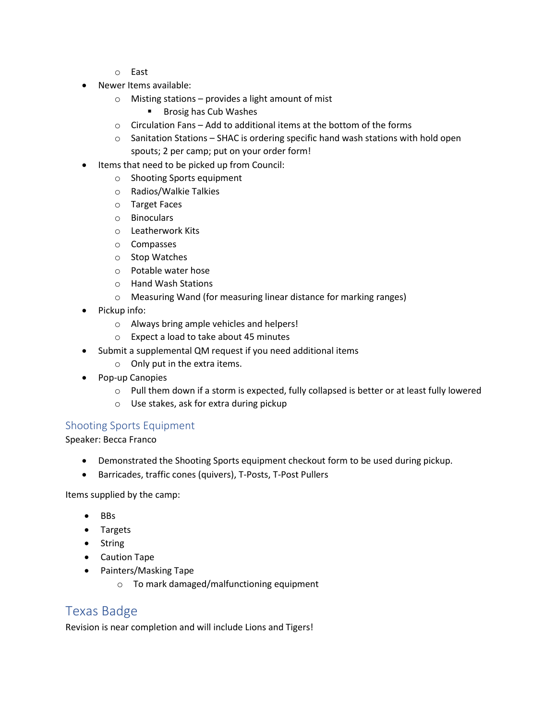- o East
- Newer Items available:
	- $\circ$  Misting stations provides a light amount of mist
		- Brosig has Cub Washes
	- o Circulation Fans Add to additional items at the bottom of the forms
	- $\circ$  Sanitation Stations SHAC is ordering specific hand wash stations with hold open spouts; 2 per camp; put on your order form!
- Items that need to be picked up from Council:
	- o Shooting Sports equipment
	- o Radios/Walkie Talkies
	- o Target Faces
	- o Binoculars
	- o Leatherwork Kits
	- o Compasses
	- o Stop Watches
	- o Potable water hose
	- o Hand Wash Stations
	- o Measuring Wand (for measuring linear distance for marking ranges)
- Pickup info:
	- o Always bring ample vehicles and helpers!
	- o Expect a load to take about 45 minutes
- Submit a supplemental QM request if you need additional items
	- o Only put in the extra items.
- Pop-up Canopies
	- $\circ$  Pull them down if a storm is expected, fully collapsed is better or at least fully lowered
	- o Use stakes, ask for extra during pickup

#### Shooting Sports Equipment

Speaker: Becca Franco

- Demonstrated the Shooting Sports equipment checkout form to be used during pickup.
- Barricades, traffic cones (quivers), T-Posts, T-Post Pullers

Items supplied by the camp:

- BBs
- Targets
- String
- Caution Tape
- Painters/Masking Tape
	- o To mark damaged/malfunctioning equipment

## Texas Badge

Revision is near completion and will include Lions and Tigers!